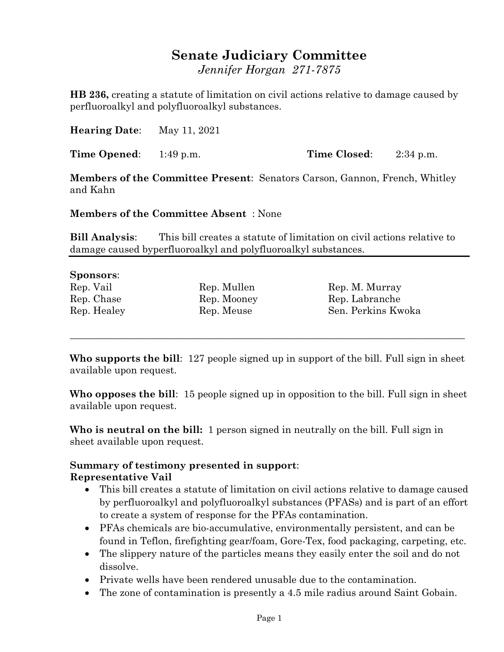# **Senate Judiciary Committee**

*Jennifer Horgan 271-7875*

**HB 236,** creating a statute of limitation on civil actions relative to damage caused by perfluoroalkyl and polyfluoroalkyl substances.

**Hearing Date**: May 11, 2021

**Time Opened**: 1:49 p.m. **Time Closed**: 2:34 p.m.

**Members of the Committee Present**: Senators Carson, Gannon, French, Whitley and Kahn

**Members of the Committee Absent** : None

**Bill Analysis**: This bill creates a statute of limitation on civil actions relative to damage caused byperfluoroalkyl and polyfluoroalkyl substances.

#### **Sponsors**:

| Rep. Vail |             |
|-----------|-------------|
|           | Rep. Chase  |
|           | Rep. Healey |

Rep. Mullen Rep. M. Murray Rep. Mooney Rep. Labranche Rep. Meuse Sen. Perkins Kwoka

**Who supports the bill**: 127 people signed up in support of the bill. Full sign in sheet available upon request.

\_\_\_\_\_\_\_\_\_\_\_\_\_\_\_\_\_\_\_\_\_\_\_\_\_\_\_\_\_\_\_\_\_\_\_\_\_\_\_\_\_\_\_\_\_\_\_\_\_\_\_\_\_\_\_\_\_\_\_\_\_\_\_\_\_\_\_\_\_\_\_\_\_\_\_\_\_\_\_\_

**Who opposes the bill**: 15 people signed up in opposition to the bill. Full sign in sheet available upon request.

**Who is neutral on the bill:** 1 person signed in neutrally on the bill. Full sign in sheet available upon request.

# **Summary of testimony presented in support**:

#### **Representative Vail**

- This bill creates a statute of limitation on civil actions relative to damage caused by perfluoroalkyl and polyfluoroalkyl substances (PFASs) and is part of an effort to create a system of response for the PFAs contamination.
- PFAs chemicals are bio-accumulative, environmentally persistent, and can be found in Teflon, firefighting gear/foam, Gore-Tex, food packaging, carpeting, etc.
- The slippery nature of the particles means they easily enter the soil and do not dissolve.
- Private wells have been rendered unusable due to the contamination.
- The zone of contamination is presently a 4.5 mile radius around Saint Gobain.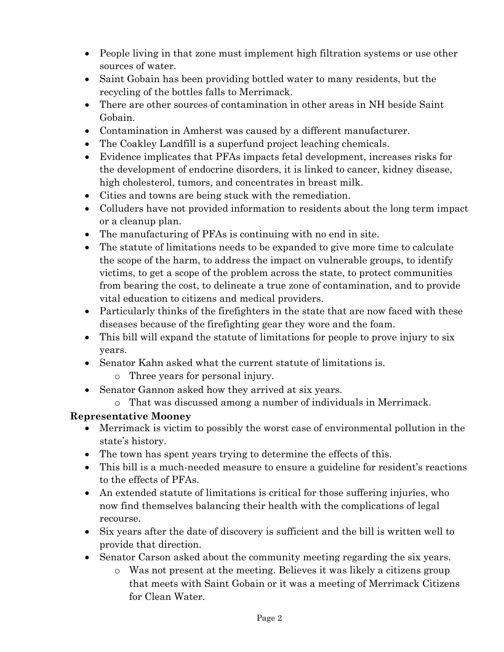- People living in that zone must implement high filtration systems or use other sources of water.
- Saint Gobain has been providing bottled water to many residents, but the recycling of the bottles falls to Merrimack.
- There are other sources of contamination in other areas in NH beside Saint Gobain.
- Contamination in Amherst was caused by a different manufacturer.
- The Coakley Landfill is a superfund project leaching chemicals.
- Evidence implicates that PFAs impacts fetal development, increases risks for the development of endocrine disorders, it is linked to cancer, kidney disease, high cholesterol, tumors, and concentrates in breast milk.
- Cities and towns are being stuck with the remediation.
- Colluders have not provided information to residents about the long term impact or a cleanup plan.
- The manufacturing of PFAs is continuing with no end in site.
- The statute of limitations needs to be expanded to give more time to calculate the scope of the harm, to address the impact on vulnerable groups, to identify victims, to get a scope of the problem across the state, to protect communities from bearing the cost, to delineate a true zone of contamination, and to provide vital education to citizens and medical providers.
- Particularly thinks of the firefighters in the state that are now faced with these diseases because of the firefighting gear they wore and the foam.
- This bill will expand the statute of limitations for people to prove injury to six years.
- Senator Kahn asked what the current statute of limitations is.
	- o Three years for personal injury.
- Senator Gannon asked how they arrived at six years.
	- o That was discussed among a number of individuals in Merrimack.

# **Representative Mooney**

- Merrimack is victim to possibly the worst case of environmental pollution in the state's history.
- The town has spent years trying to determine the effects of this.
- This bill is a much-needed measure to ensure a guideline for resident's reactions to the effects of PFAs.
- An extended statute of limitations is critical for those suffering injuries, who now find themselves balancing their health with the complications of legal recourse.
- Six years after the date of discovery is sufficient and the bill is written well to provide that direction.
- Senator Carson asked about the community meeting regarding the six years.
	- o Was not present at the meeting. Believes it was likely a citizens group that meets with Saint Gobain or it was a meeting of Merrimack Citizens for Clean Water.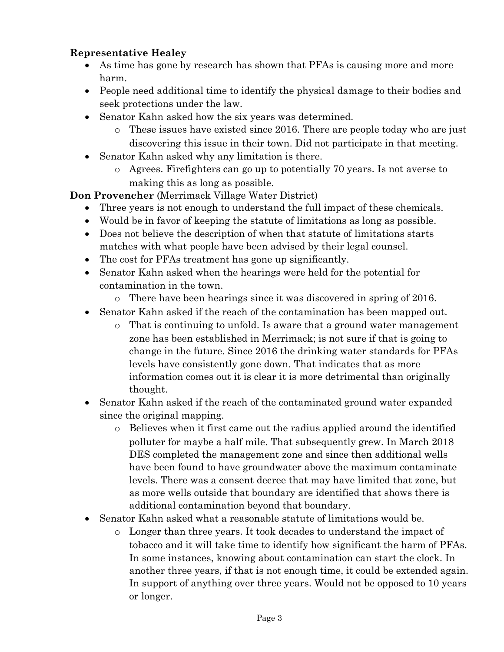## **Representative Healey**

- As time has gone by research has shown that PFAs is causing more and more harm.
- People need additional time to identify the physical damage to their bodies and seek protections under the law.
- Senator Kahn asked how the six years was determined.
	- o These issues have existed since 2016. There are people today who are just discovering this issue in their town. Did not participate in that meeting.
- Senator Kahn asked why any limitation is there.
	- o Agrees. Firefighters can go up to potentially 70 years. Is not averse to making this as long as possible.

**Don Provencher** (Merrimack Village Water District)

- Three years is not enough to understand the full impact of these chemicals.
- Would be in favor of keeping the statute of limitations as long as possible.
- Does not believe the description of when that statute of limitations starts matches with what people have been advised by their legal counsel.
- The cost for PFAs treatment has gone up significantly.
- Senator Kahn asked when the hearings were held for the potential for contamination in the town.
	- o There have been hearings since it was discovered in spring of 2016.
- Senator Kahn asked if the reach of the contamination has been mapped out.
	- o That is continuing to unfold. Is aware that a ground water management zone has been established in Merrimack; is not sure if that is going to change in the future. Since 2016 the drinking water standards for PFAs levels have consistently gone down. That indicates that as more information comes out it is clear it is more detrimental than originally thought.
- Senator Kahn asked if the reach of the contaminated ground water expanded since the original mapping.
	- o Believes when it first came out the radius applied around the identified polluter for maybe a half mile. That subsequently grew. In March 2018 DES completed the management zone and since then additional wells have been found to have groundwater above the maximum contaminate levels. There was a consent decree that may have limited that zone, but as more wells outside that boundary are identified that shows there is additional contamination beyond that boundary.
- Senator Kahn asked what a reasonable statute of limitations would be.
	- o Longer than three years. It took decades to understand the impact of tobacco and it will take time to identify how significant the harm of PFAs. In some instances, knowing about contamination can start the clock. In another three years, if that is not enough time, it could be extended again. In support of anything over three years. Would not be opposed to 10 years or longer.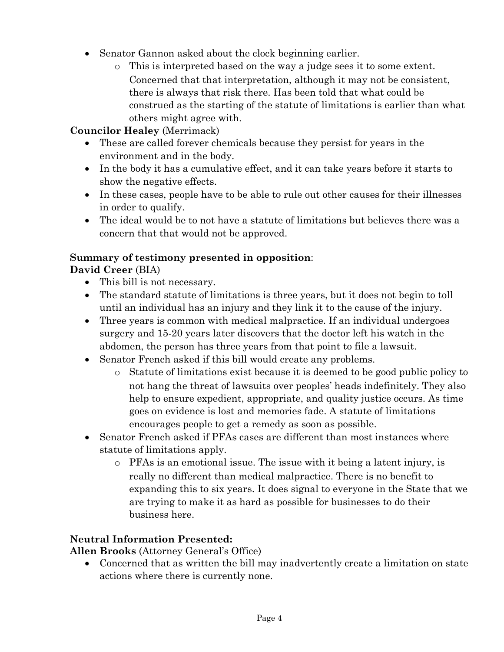- Senator Gannon asked about the clock beginning earlier.
	- o This is interpreted based on the way a judge sees it to some extent. Concerned that that interpretation, although it may not be consistent, there is always that risk there. Has been told that what could be construed as the starting of the statute of limitations is earlier than what others might agree with.

## **Councilor Healey** (Merrimack)

- These are called forever chemicals because they persist for years in the environment and in the body.
- In the body it has a cumulative effect, and it can take years before it starts to show the negative effects.
- In these cases, people have to be able to rule out other causes for their illnesses in order to qualify.
- The ideal would be to not have a statute of limitations but believes there was a concern that that would not be approved.

### **Summary of testimony presented in opposition**:

**David Creer** (BIA)

- This bill is not necessary.
- The standard statute of limitations is three years, but it does not begin to toll until an individual has an injury and they link it to the cause of the injury.
- Three years is common with medical malpractice. If an individual undergoes surgery and 15-20 years later discovers that the doctor left his watch in the abdomen, the person has three years from that point to file a lawsuit.
- Senator French asked if this bill would create any problems.
	- o Statute of limitations exist because it is deemed to be good public policy to not hang the threat of lawsuits over peoples' heads indefinitely. They also help to ensure expedient, appropriate, and quality justice occurs. As time goes on evidence is lost and memories fade. A statute of limitations encourages people to get a remedy as soon as possible.
- Senator French asked if PFAs cases are different than most instances where statute of limitations apply.
	- o PFAs is an emotional issue. The issue with it being a latent injury, is really no different than medical malpractice. There is no benefit to expanding this to six years. It does signal to everyone in the State that we are trying to make it as hard as possible for businesses to do their business here.

# **Neutral Information Presented:**

**Allen Brooks** (Attorney General's Office)

 Concerned that as written the bill may inadvertently create a limitation on state actions where there is currently none.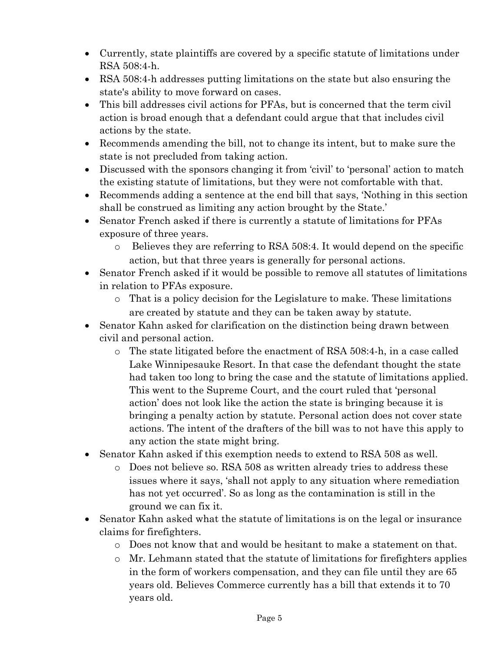- Currently, state plaintiffs are covered by a specific statute of limitations under RSA 508:4-h.
- RSA 508:4-h addresses putting limitations on the state but also ensuring the state's ability to move forward on cases.
- This bill addresses civil actions for PFAs, but is concerned that the term civil action is broad enough that a defendant could argue that that includes civil actions by the state.
- Recommends amending the bill, not to change its intent, but to make sure the state is not precluded from taking action.
- Discussed with the sponsors changing it from 'civil' to 'personal' action to match the existing statute of limitations, but they were not comfortable with that.
- Recommends adding a sentence at the end bill that says, 'Nothing in this section shall be construed as limiting any action brought by the State.'
- Senator French asked if there is currently a statute of limitations for PFAs exposure of three years.
	- o Believes they are referring to RSA 508:4. It would depend on the specific action, but that three years is generally for personal actions.
- Senator French asked if it would be possible to remove all statutes of limitations in relation to PFAs exposure.
	- o That is a policy decision for the Legislature to make. These limitations are created by statute and they can be taken away by statute.
- Senator Kahn asked for clarification on the distinction being drawn between civil and personal action.
	- o The state litigated before the enactment of RSA 508:4-h, in a case called Lake Winnipesauke Resort. In that case the defendant thought the state had taken too long to bring the case and the statute of limitations applied. This went to the Supreme Court, and the court ruled that 'personal action' does not look like the action the state is bringing because it is bringing a penalty action by statute. Personal action does not cover state actions. The intent of the drafters of the bill was to not have this apply to any action the state might bring.
- Senator Kahn asked if this exemption needs to extend to RSA 508 as well.
	- o Does not believe so. RSA 508 as written already tries to address these issues where it says, 'shall not apply to any situation where remediation has not yet occurred'. So as long as the contamination is still in the ground we can fix it.
- Senator Kahn asked what the statute of limitations is on the legal or insurance claims for firefighters.
	- o Does not know that and would be hesitant to make a statement on that.
	- $\circ$  Mr. Lehmann stated that the statute of limitations for firefighters applies in the form of workers compensation, and they can file until they are 65 years old. Believes Commerce currently has a bill that extends it to 70 years old.